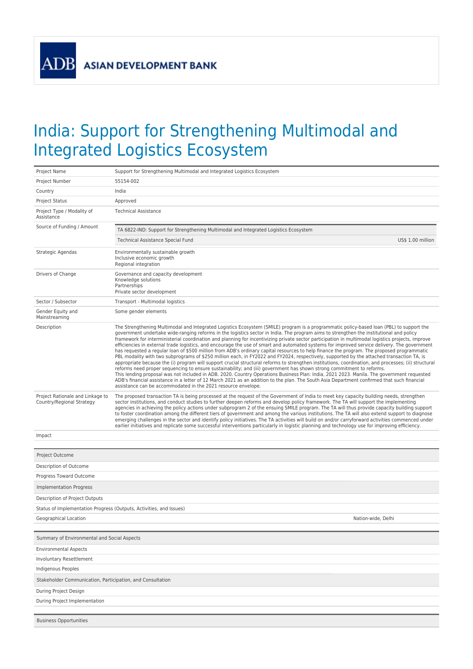**ADB** 

## India: Support for Strengthening Multimodal and Integrated Logistics Ecosystem

| Project Name                                                        | Support for Strengthening Multimodal and Integrated Logistics Ecosystem                                                                                                                                                                                                                                                                                                                                                                                                                                                                                                                                                                                                                                                                                                                                                                                                                                                                                                                                                                                                                                                                                                                                                                                                                                                                                                                                                                                                                                                           |  |  |  |
|---------------------------------------------------------------------|-----------------------------------------------------------------------------------------------------------------------------------------------------------------------------------------------------------------------------------------------------------------------------------------------------------------------------------------------------------------------------------------------------------------------------------------------------------------------------------------------------------------------------------------------------------------------------------------------------------------------------------------------------------------------------------------------------------------------------------------------------------------------------------------------------------------------------------------------------------------------------------------------------------------------------------------------------------------------------------------------------------------------------------------------------------------------------------------------------------------------------------------------------------------------------------------------------------------------------------------------------------------------------------------------------------------------------------------------------------------------------------------------------------------------------------------------------------------------------------------------------------------------------------|--|--|--|
| Project Number                                                      | 55154-002                                                                                                                                                                                                                                                                                                                                                                                                                                                                                                                                                                                                                                                                                                                                                                                                                                                                                                                                                                                                                                                                                                                                                                                                                                                                                                                                                                                                                                                                                                                         |  |  |  |
| Country                                                             | India                                                                                                                                                                                                                                                                                                                                                                                                                                                                                                                                                                                                                                                                                                                                                                                                                                                                                                                                                                                                                                                                                                                                                                                                                                                                                                                                                                                                                                                                                                                             |  |  |  |
| <b>Project Status</b>                                               | Approved                                                                                                                                                                                                                                                                                                                                                                                                                                                                                                                                                                                                                                                                                                                                                                                                                                                                                                                                                                                                                                                                                                                                                                                                                                                                                                                                                                                                                                                                                                                          |  |  |  |
| Project Type / Modality of<br>Assistance                            | <b>Technical Assistance</b>                                                                                                                                                                                                                                                                                                                                                                                                                                                                                                                                                                                                                                                                                                                                                                                                                                                                                                                                                                                                                                                                                                                                                                                                                                                                                                                                                                                                                                                                                                       |  |  |  |
| Source of Funding / Amount                                          | TA 6822-IND: Support for Strengthening Multimodal and Integrated Logistics Ecosystem                                                                                                                                                                                                                                                                                                                                                                                                                                                                                                                                                                                                                                                                                                                                                                                                                                                                                                                                                                                                                                                                                                                                                                                                                                                                                                                                                                                                                                              |  |  |  |
|                                                                     | Technical Assistance Special Fund<br>US\$ 1.00 million                                                                                                                                                                                                                                                                                                                                                                                                                                                                                                                                                                                                                                                                                                                                                                                                                                                                                                                                                                                                                                                                                                                                                                                                                                                                                                                                                                                                                                                                            |  |  |  |
| Strategic Agendas                                                   | Environmentally sustainable growth<br>Inclusive economic growth<br>Regional integration                                                                                                                                                                                                                                                                                                                                                                                                                                                                                                                                                                                                                                                                                                                                                                                                                                                                                                                                                                                                                                                                                                                                                                                                                                                                                                                                                                                                                                           |  |  |  |
| Drivers of Change                                                   | Governance and capacity development<br>Knowledge solutions<br>Partnerships<br>Private sector development                                                                                                                                                                                                                                                                                                                                                                                                                                                                                                                                                                                                                                                                                                                                                                                                                                                                                                                                                                                                                                                                                                                                                                                                                                                                                                                                                                                                                          |  |  |  |
| Sector / Subsector                                                  | Transport - Multimodal logistics                                                                                                                                                                                                                                                                                                                                                                                                                                                                                                                                                                                                                                                                                                                                                                                                                                                                                                                                                                                                                                                                                                                                                                                                                                                                                                                                                                                                                                                                                                  |  |  |  |
| Gender Equity and<br>Mainstreaming                                  | Some gender elements                                                                                                                                                                                                                                                                                                                                                                                                                                                                                                                                                                                                                                                                                                                                                                                                                                                                                                                                                                                                                                                                                                                                                                                                                                                                                                                                                                                                                                                                                                              |  |  |  |
| Description                                                         | The Strengthening Multimodal and Integrated Logistics Ecosystem (SMILE) program is a programmatic policy-based loan (PBL) to support the<br>government undertake wide-ranging reforms in the logistics sector in India. The program aims to strengthen the institutional and policy<br>framework for interministerial coordination and planning for incentivizing private sector participation in multimodal logistics projects, improve<br>efficiencies in external trade logistics, and encourage the use of smart and automated systems for improved service delivery. The government<br>has requested a regular loan of \$500 million from ADB's ordinary capital resources to help finance the program. The proposed programmatic<br>PBL modality with two subprograms of \$250 million each, in FY2022 and FY2024, respectively, supported by the attached transaction TA, is<br>appropriate because the (i) program will support crucial structural reforms to strengthen institutions, coordination, and processes; (ii) structural<br>reforms need proper sequencing to ensure sustainability; and (iii) government has shown strong commitment to reforms.<br>This lending proposal was not included in ADB. 2020. Country Operations Business Plan: India, 2021 2023. Manila. The government requested<br>ADB's financial assistance in a letter of 12 March 2021 as an addition to the plan. The South Asia Department confirmed that such financial<br>assistance can be accommodated in the 2021 resource envelope. |  |  |  |
| Project Rationale and Linkage to<br>Country/Regional Strategy       | The proposed transaction TA is being processed at the request of the Government of India to meet key capacity building needs, strengthen<br>sector institutions, and conduct studies to further deepen reforms and develop policy framework. The TA will support the implementing<br>agencies in achieving the policy actions under subprogram 2 of the ensuing SMILE program. The TA will thus provide capacity building support<br>to foster coordination among the different tiers of government and among the various institutions. The TA will also extend support to diagnose<br>emerging challenges in the sector and identify policy initiatives. The TA activities will build on and/or carryforward activities commenced under<br>earlier initiatives and replicate some successful interventions particularly in logistic planning and technology use for improving efficiency.                                                                                                                                                                                                                                                                                                                                                                                                                                                                                                                                                                                                                                        |  |  |  |
| Impact                                                              |                                                                                                                                                                                                                                                                                                                                                                                                                                                                                                                                                                                                                                                                                                                                                                                                                                                                                                                                                                                                                                                                                                                                                                                                                                                                                                                                                                                                                                                                                                                                   |  |  |  |
|                                                                     |                                                                                                                                                                                                                                                                                                                                                                                                                                                                                                                                                                                                                                                                                                                                                                                                                                                                                                                                                                                                                                                                                                                                                                                                                                                                                                                                                                                                                                                                                                                                   |  |  |  |
| Project Outcome                                                     |                                                                                                                                                                                                                                                                                                                                                                                                                                                                                                                                                                                                                                                                                                                                                                                                                                                                                                                                                                                                                                                                                                                                                                                                                                                                                                                                                                                                                                                                                                                                   |  |  |  |
| Description of Outcome                                              |                                                                                                                                                                                                                                                                                                                                                                                                                                                                                                                                                                                                                                                                                                                                                                                                                                                                                                                                                                                                                                                                                                                                                                                                                                                                                                                                                                                                                                                                                                                                   |  |  |  |
| Progress Toward Outcome                                             |                                                                                                                                                                                                                                                                                                                                                                                                                                                                                                                                                                                                                                                                                                                                                                                                                                                                                                                                                                                                                                                                                                                                                                                                                                                                                                                                                                                                                                                                                                                                   |  |  |  |
| Implementation Progress                                             |                                                                                                                                                                                                                                                                                                                                                                                                                                                                                                                                                                                                                                                                                                                                                                                                                                                                                                                                                                                                                                                                                                                                                                                                                                                                                                                                                                                                                                                                                                                                   |  |  |  |
| Description of Project Outputs                                      |                                                                                                                                                                                                                                                                                                                                                                                                                                                                                                                                                                                                                                                                                                                                                                                                                                                                                                                                                                                                                                                                                                                                                                                                                                                                                                                                                                                                                                                                                                                                   |  |  |  |
| Status of Implementation Progress (Outputs, Activities, and Issues) |                                                                                                                                                                                                                                                                                                                                                                                                                                                                                                                                                                                                                                                                                                                                                                                                                                                                                                                                                                                                                                                                                                                                                                                                                                                                                                                                                                                                                                                                                                                                   |  |  |  |
| Geographical Location                                               | Nation-wide, Delhi                                                                                                                                                                                                                                                                                                                                                                                                                                                                                                                                                                                                                                                                                                                                                                                                                                                                                                                                                                                                                                                                                                                                                                                                                                                                                                                                                                                                                                                                                                                |  |  |  |
|                                                                     |                                                                                                                                                                                                                                                                                                                                                                                                                                                                                                                                                                                                                                                                                                                                                                                                                                                                                                                                                                                                                                                                                                                                                                                                                                                                                                                                                                                                                                                                                                                                   |  |  |  |
| Summary of Environmental and Social Aspects                         |                                                                                                                                                                                                                                                                                                                                                                                                                                                                                                                                                                                                                                                                                                                                                                                                                                                                                                                                                                                                                                                                                                                                                                                                                                                                                                                                                                                                                                                                                                                                   |  |  |  |
| <b>Environmental Aspects</b>                                        |                                                                                                                                                                                                                                                                                                                                                                                                                                                                                                                                                                                                                                                                                                                                                                                                                                                                                                                                                                                                                                                                                                                                                                                                                                                                                                                                                                                                                                                                                                                                   |  |  |  |
| Involuntary Resettlement                                            |                                                                                                                                                                                                                                                                                                                                                                                                                                                                                                                                                                                                                                                                                                                                                                                                                                                                                                                                                                                                                                                                                                                                                                                                                                                                                                                                                                                                                                                                                                                                   |  |  |  |
| Indigenous Peoples                                                  |                                                                                                                                                                                                                                                                                                                                                                                                                                                                                                                                                                                                                                                                                                                                                                                                                                                                                                                                                                                                                                                                                                                                                                                                                                                                                                                                                                                                                                                                                                                                   |  |  |  |
| Stakeholder Communication, Participation, and Consultation          |                                                                                                                                                                                                                                                                                                                                                                                                                                                                                                                                                                                                                                                                                                                                                                                                                                                                                                                                                                                                                                                                                                                                                                                                                                                                                                                                                                                                                                                                                                                                   |  |  |  |
| During Project Design                                               |                                                                                                                                                                                                                                                                                                                                                                                                                                                                                                                                                                                                                                                                                                                                                                                                                                                                                                                                                                                                                                                                                                                                                                                                                                                                                                                                                                                                                                                                                                                                   |  |  |  |
| During Project Implementation                                       |                                                                                                                                                                                                                                                                                                                                                                                                                                                                                                                                                                                                                                                                                                                                                                                                                                                                                                                                                                                                                                                                                                                                                                                                                                                                                                                                                                                                                                                                                                                                   |  |  |  |
|                                                                     |                                                                                                                                                                                                                                                                                                                                                                                                                                                                                                                                                                                                                                                                                                                                                                                                                                                                                                                                                                                                                                                                                                                                                                                                                                                                                                                                                                                                                                                                                                                                   |  |  |  |
| <b>Business Opportunities</b>                                       |                                                                                                                                                                                                                                                                                                                                                                                                                                                                                                                                                                                                                                                                                                                                                                                                                                                                                                                                                                                                                                                                                                                                                                                                                                                                                                                                                                                                                                                                                                                                   |  |  |  |